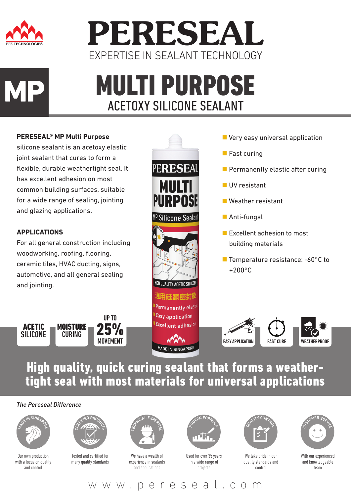

## **PERESEAL** EXPERTISE IN SEALANT TECHNOLOGY

# MP

## MULTI PURPOSE ACETOXY SILICONE SEALANT

#### **PERESEAL® MP Multi Purpose**

silicone sealant is an acetoxy elastic joint sealant that cures to form a flexible, durable weathertight seal. It has excellent adhesion on most common building surfaces, suitable for a wide range of sealing, jointing and glazing applications.

#### **APPLICATIONS**

For all general construction including woodworking, roofing, flooring, ceramic tiles, HVAC ducting, signs, automotive, and all general sealing and jointing.

MOISTURE **25% MOVEMENT** ACETIC SILICONE UP TO





通用硅酮密封脚 <sup>I Per</sup>manently elas<sup>tic</sup> **Easy application** Excellent adhesion



- **Very easy universal application**
- **Fast curing**
- $\blacksquare$  Permanently elastic after curing
- UV resistant
- **Weather resistant**
- **Anti-fungal**
- $\blacksquare$  Excellent adhesion to most building materials
- Temperature resistance: -60°C to +200°C



### High quality, quick curing sealant that forms a weathertight seal with most materials for universal applications

#### **The Pereseal Difference**



Our own production with a focus on quality and control



Tested and certified for many quality standards



We have a wealth of experience in sealants and applications



Used for over 35 years in a wide range of projects



We take pride in our quality standards and control



With our experienced and knowledgeable team

www.pereseal.com